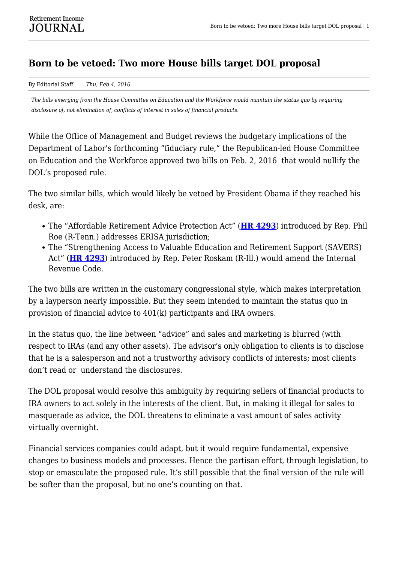## **Born to be vetoed: Two more House bills target DOL proposal**

By Editorial Staff *Thu, Feb 4, 2016*

*The bills emerging from the House Committee on Education and the Workforce would maintain the status quo by requiring disclosure of, not elimination of, conflicts of interest in sales of financial products.*

While the Office of Management and Budget reviews the budgetary implications of the Department of Labor's forthcoming "fiduciary rule," the Republican-led House Committee on Education and the Workforce approved two bills on Feb. 2, 2016 that would nullify the DOL's proposed rule.

The two similar bills, which would likely be vetoed by President Obama if they reached his desk, are:

- The "Affordable Retirement Advice Protection Act" (**[HR 4293](https://www.gpo.gov/fdsys/pkg/BILLS-114hr4293ih/pdf/BILLS-114hr4293ih.pdf)**) introduced by Rep. Phil Roe (R-Tenn.) addresses ERISA jurisdiction;
- The "Strengthening Access to Valuable Education and Retirement Support (SAVERS) Act" (**[HR 4293](https://www.govtrack.us/congress/bills/114/hr4294/text)**) introduced by Rep. Peter Roskam (R-Ill.) would amend the Internal Revenue Code.

The two bills are written in the customary congressional style, which makes interpretation by a layperson nearly impossible. But they seem intended to maintain the status quo in provision of financial advice to 401(k) participants and IRA owners.

In the status quo, the line between "advice" and sales and marketing is blurred (with respect to IRAs (and any other assets). The advisor's only obligation to clients is to disclose that he is a salesperson and not a trustworthy advisory conflicts of interests; most clients don't read or understand the disclosures.

The DOL proposal would resolve this ambiguity by requiring sellers of financial products to IRA owners to act solely in the interests of the client. But, in making it illegal for sales to masquerade as advice, the DOL threatens to eliminate a vast amount of sales activity virtually overnight.

Financial services companies could adapt, but it would require fundamental, expensive changes to business models and processes. Hence the partisan effort, through legislation, to stop or emasculate the proposed rule. It's still possible that the final version of the rule will be softer than the proposal, but no one's counting on that.